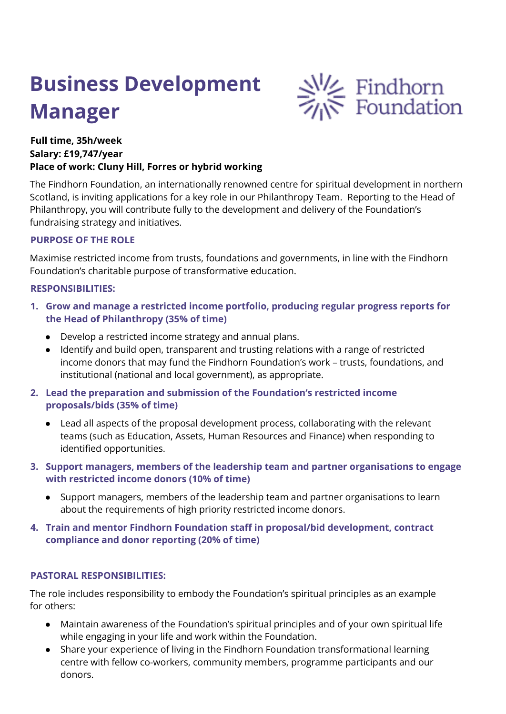# **Business Development Manager**



# **Full time, 35h/week Salary: £19,747/year Place of work: Cluny Hill, Forres or hybrid working**

The Findhorn Foundation, an internationally renowned centre for spiritual development in northern Scotland, is inviting applications for a key role in our Philanthropy Team. Reporting to the Head of Philanthropy, you will contribute fully to the development and delivery of the Foundation's fundraising strategy and initiatives.

# **PURPOSE OF THE ROLE**

Maximise restricted income from trusts, foundations and governments, in line with the Findhorn Foundation's charitable purpose of transformative education.

## **RESPONSIBILITIES:**

- **1. Grow and manage a restricted income portfolio, producing regular progress reports for the Head of Philanthropy (35% of time)**
	- Develop a restricted income strategy and annual plans.
	- Identify and build open, transparent and trusting relations with a range of restricted income donors that may fund the Findhorn Foundation's work – trusts, foundations, and institutional (national and local government), as appropriate.
- **2. Lead the preparation and submission of the Foundation's restricted income proposals/bids (35% of time)**
	- Lead all aspects of the proposal development process, collaborating with the relevant teams (such as Education, Assets, Human Resources and Finance) when responding to identified opportunities.
- **3. Support managers, members of the leadership team and partner organisations to engage with restricted income donors (10% of time)**
	- Support managers, members of the leadership team and partner organisations to learn about the requirements of high priority restricted income donors.
- **4. Train and mentor Findhorn Foundation staff in proposal/bid development, contract compliance and donor reporting (20% of time)**

## **PASTORAL RESPONSIBILITIES:**

The role includes responsibility to embody the Foundation's spiritual principles as an example for others:

- Maintain awareness of the Foundation's spiritual principles and of your own spiritual life while engaging in your life and work within the Foundation.
- Share your experience of living in the Findhorn Foundation transformational learning centre with fellow co-workers, community members, programme participants and our donors.